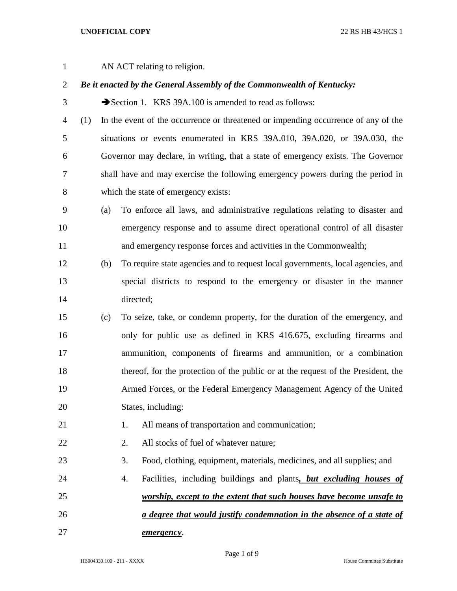## **UNOFFICIAL COPY** 22 RS HB 43/HCS 1

AN ACT relating to religion.

## *Be it enacted by the General Assembly of the Commonwealth of Kentucky:*

3 Section 1. KRS 39A.100 is amended to read as follows:

- (1) In the event of the occurrence or threatened or impending occurrence of any of the situations or events enumerated in KRS 39A.010, 39A.020, or 39A.030, the Governor may declare, in writing, that a state of emergency exists. The Governor shall have and may exercise the following emergency powers during the period in which the state of emergency exists:
- (a) To enforce all laws, and administrative regulations relating to disaster and emergency response and to assume direct operational control of all disaster and emergency response forces and activities in the Commonwealth;
- (b) To require state agencies and to request local governments, local agencies, and special districts to respond to the emergency or disaster in the manner directed;
- (c) To seize, take, or condemn property, for the duration of the emergency, and only for public use as defined in KRS 416.675, excluding firearms and ammunition, components of firearms and ammunition, or a combination thereof, for the protection of the public or at the request of the President, the Armed Forces, or the Federal Emergency Management Agency of the United States, including:
- 21 1. All means of transportation and communication;
- 22 2. All stocks of fuel of whatever nature;
- 3. Food, clothing, equipment, materials, medicines, and all supplies; and
- 4. Facilities, including buildings and plants*, but excluding houses of worship, except to the extent that such houses have become unsafe to a degree that would justify condemnation in the absence of a state of emergency*.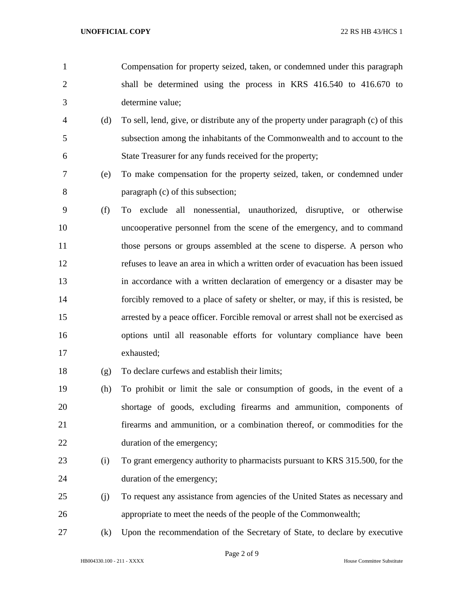- Compensation for property seized, taken, or condemned under this paragraph shall be determined using the process in KRS 416.540 to 416.670 to determine value;
- (d) To sell, lend, give, or distribute any of the property under paragraph (c) of this subsection among the inhabitants of the Commonwealth and to account to the State Treasurer for any funds received for the property;
- (e) To make compensation for the property seized, taken, or condemned under paragraph (c) of this subsection;
- (f) To exclude all nonessential, unauthorized, disruptive, or otherwise uncooperative personnel from the scene of the emergency, and to command 11 those persons or groups assembled at the scene to disperse. A person who refuses to leave an area in which a written order of evacuation has been issued in accordance with a written declaration of emergency or a disaster may be forcibly removed to a place of safety or shelter, or may, if this is resisted, be arrested by a peace officer. Forcible removal or arrest shall not be exercised as options until all reasonable efforts for voluntary compliance have been exhausted;
- (g) To declare curfews and establish their limits;
- (h) To prohibit or limit the sale or consumption of goods, in the event of a shortage of goods, excluding firearms and ammunition, components of firearms and ammunition, or a combination thereof, or commodities for the duration of the emergency;
- (i) To grant emergency authority to pharmacists pursuant to KRS 315.500, for the duration of the emergency;
- (j) To request any assistance from agencies of the United States as necessary and appropriate to meet the needs of the people of the Commonwealth;
- (k) Upon the recommendation of the Secretary of State, to declare by executive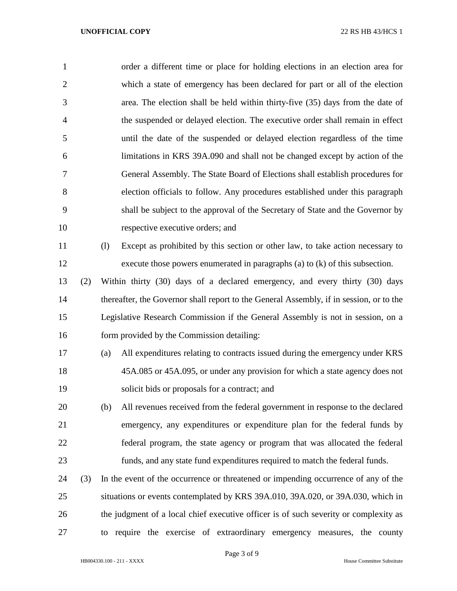| $\mathbf{1}$   |     | order a different time or place for holding elections in an election area for           |
|----------------|-----|-----------------------------------------------------------------------------------------|
| $\overline{2}$ |     | which a state of emergency has been declared for part or all of the election            |
| 3              |     | area. The election shall be held within thirty-five (35) days from the date of          |
| $\overline{4}$ |     | the suspended or delayed election. The executive order shall remain in effect           |
| 5              |     | until the date of the suspended or delayed election regardless of the time              |
| 6              |     | limitations in KRS 39A.090 and shall not be changed except by action of the             |
| 7              |     | General Assembly. The State Board of Elections shall establish procedures for           |
| 8              |     | election officials to follow. Any procedures established under this paragraph           |
| 9              |     | shall be subject to the approval of the Secretary of State and the Governor by          |
| 10             |     | respective executive orders; and                                                        |
| 11             |     | (1)<br>Except as prohibited by this section or other law, to take action necessary to   |
| 12             |     | execute those powers enumerated in paragraphs (a) to $(k)$ of this subsection.          |
| 13             | (2) | Within thirty (30) days of a declared emergency, and every thirty (30) days             |
| 14             |     | thereafter, the Governor shall report to the General Assembly, if in session, or to the |
| 15             |     | Legislative Research Commission if the General Assembly is not in session, on a         |
| 16             |     | form provided by the Commission detailing:                                              |
| 17             |     | All expenditures relating to contracts issued during the emergency under KRS<br>(a)     |
| 18             |     | 45A.085 or 45A.095, or under any provision for which a state agency does not            |
| 19             |     | solicit bids or proposals for a contract; and                                           |
| 20             |     | All revenues received from the federal government in response to the declared<br>(b)    |
| 21             |     | emergency, any expenditures or expenditure plan for the federal funds by                |
| 22             |     | federal program, the state agency or program that was allocated the federal             |
| 23             |     | funds, and any state fund expenditures required to match the federal funds.             |
| 24             | (3) | In the event of the occurrence or threatened or impending occurrence of any of the      |
| 25             |     | situations or events contemplated by KRS 39A.010, 39A.020, or 39A.030, which in         |
| 26             |     | the judgment of a local chief executive officer is of such severity or complexity as    |
| 27             |     | require the exercise of extraordinary emergency measures, the county<br>to              |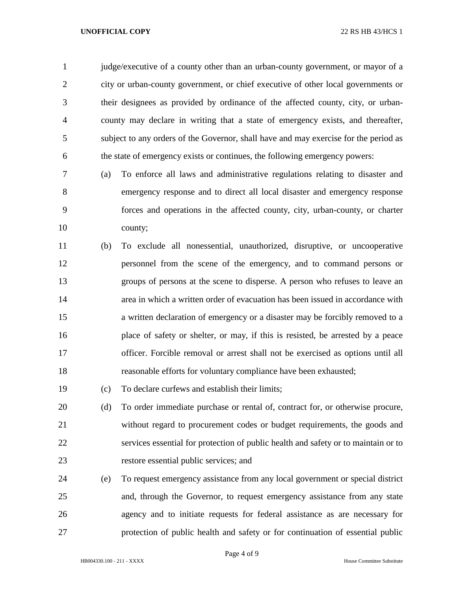## **UNOFFICIAL COPY** 22 RS HB 43/HCS 1

 judge/executive of a county other than an urban-county government, or mayor of a city or urban-county government, or chief executive of other local governments or their designees as provided by ordinance of the affected county, city, or urban- county may declare in writing that a state of emergency exists, and thereafter, subject to any orders of the Governor, shall have and may exercise for the period as the state of emergency exists or continues, the following emergency powers:

- (a) To enforce all laws and administrative regulations relating to disaster and emergency response and to direct all local disaster and emergency response forces and operations in the affected county, city, urban-county, or charter county;
- (b) To exclude all nonessential, unauthorized, disruptive, or uncooperative personnel from the scene of the emergency, and to command persons or groups of persons at the scene to disperse. A person who refuses to leave an area in which a written order of evacuation has been issued in accordance with a written declaration of emergency or a disaster may be forcibly removed to a place of safety or shelter, or may, if this is resisted, be arrested by a peace officer. Forcible removal or arrest shall not be exercised as options until all reasonable efforts for voluntary compliance have been exhausted;
- (c) To declare curfews and establish their limits;
- (d) To order immediate purchase or rental of, contract for, or otherwise procure, without regard to procurement codes or budget requirements, the goods and services essential for protection of public health and safety or to maintain or to restore essential public services; and
- (e) To request emergency assistance from any local government or special district and, through the Governor, to request emergency assistance from any state agency and to initiate requests for federal assistance as are necessary for protection of public health and safety or for continuation of essential public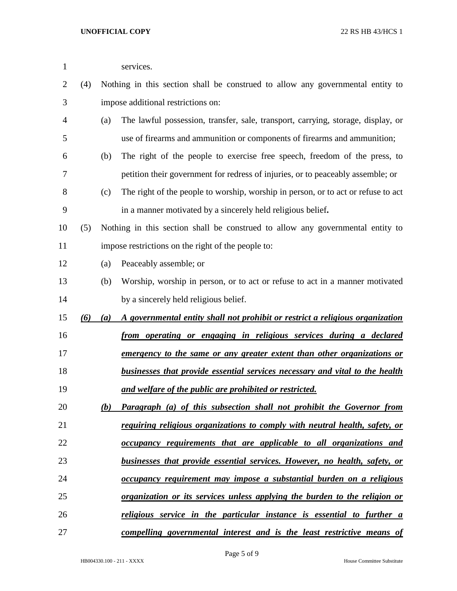| 1  |     |     | services.                                                                         |
|----|-----|-----|-----------------------------------------------------------------------------------|
| 2  | (4) |     | Nothing in this section shall be construed to allow any governmental entity to    |
| 3  |     |     | impose additional restrictions on:                                                |
| 4  |     | (a) | The lawful possession, transfer, sale, transport, carrying, storage, display, or  |
| 5  |     |     | use of firearms and ammunition or components of firearms and ammunition;          |
| 6  |     | (b) | The right of the people to exercise free speech, freedom of the press, to         |
| 7  |     |     | petition their government for redress of injuries, or to peaceably assemble; or   |
| 8  |     | (c) | The right of the people to worship, worship in person, or to act or refuse to act |
| 9  |     |     | in a manner motivated by a sincerely held religious belief.                       |
| 10 | (5) |     | Nothing in this section shall be construed to allow any governmental entity to    |
| 11 |     |     | impose restrictions on the right of the people to:                                |
| 12 |     | (a) | Peaceably assemble; or                                                            |
| 13 |     | (b) | Worship, worship in person, or to act or refuse to act in a manner motivated      |
| 14 |     |     | by a sincerely held religious belief.                                             |
| 15 | (6) | (a) | A governmental entity shall not prohibit or restrict a religious organization     |
| 16 |     |     | from operating or engaging in religious services during a declared                |
| 17 |     |     | <u>emergency to the same or any greater extent than other organizations or</u>    |
| 18 |     |     | businesses that provide essential services necessary and vital to the health      |
| 19 |     |     | and welfare of the public are prohibited or restricted.                           |
| 20 |     | (b) | <b>Paragraph</b> (a) of this subsection shall not prohibit the Governor from      |
| 21 |     |     | requiring religious organizations to comply with neutral health, safety, or       |
| 22 |     |     | occupancy requirements that are applicable to all organizations and               |
| 23 |     |     | businesses that provide essential services. However, no health, safety, or        |
| 24 |     |     | occupancy requirement may impose a substantial burden on a religious              |
| 25 |     |     | organization or its services unless applying the burden to the religion or        |
| 26 |     |     | <u>religious service in the particular instance is essential to further a</u>     |
| 27 |     |     | compelling governmental interest and is the least restrictive means of            |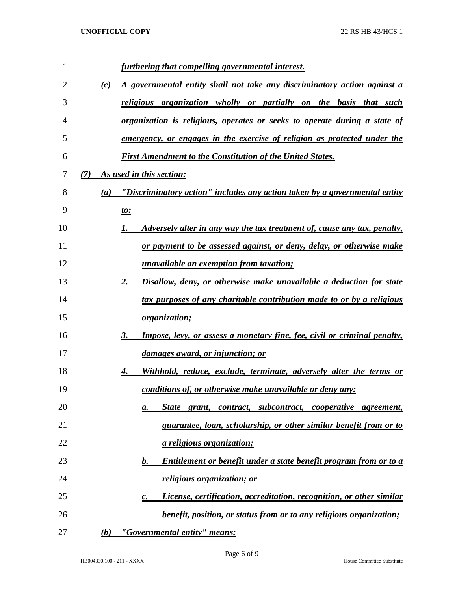| 1  |     | furthering that compelling governmental interest.                                          |
|----|-----|--------------------------------------------------------------------------------------------|
| 2  | (c) | A governmental entity shall not take any discriminatory action against a                   |
| 3  |     | religious organization wholly or partially on the basis that such                          |
| 4  |     | <u>organization is religious, operates or seeks to operate during a state of</u>           |
| 5  |     | <u>emergency, or engages in the exercise of religion as protected under the</u>            |
| 6  |     | <b>First Amendment to the Constitution of the United States.</b>                           |
| 7  | (7) | As used in this section:                                                                   |
| 8  | (a) | "Discriminatory action" includes any action taken by a governmental entity                 |
| 9  |     | <u>to:</u>                                                                                 |
| 10 |     | <u>Adversely alter in any way the tax treatment of, cause any tax, penalty,</u><br>1.      |
| 11 |     | <u>or payment to be assessed against, or deny, delay, or otherwise make</u>                |
| 12 |     | <i>unavailable an exemption from taxation;</i>                                             |
| 13 |     | Disallow, deny, or otherwise make unavailable a deduction for state<br>2.                  |
| 14 |     | tax purposes of any charitable contribution made to or by a religious                      |
| 15 |     | <i>organization;</i>                                                                       |
| 16 |     | <b>Impose, levy, or assess a monetary fine, fee, civil or criminal penalty,</b><br>3.      |
| 17 |     | damages award, or injunction; or                                                           |
| 18 |     | Withhold, reduce, exclude, terminate, adversely alter the terms or<br>4.                   |
| 19 |     | conditions of, or otherwise make unavailable or deny any:                                  |
| 20 |     | State grant, contract, subcontract, cooperative agreement,<br>а.                           |
| 21 |     | guarantee, loan, scholarship, or other similar benefit from or to                          |
| 22 |     | <u>a religious organization;</u>                                                           |
| 23 |     | Entitlement or benefit under a state benefit program from or to a<br><u>b.</u>             |
| 24 |     | <u>religious organization; or</u>                                                          |
| 25 |     | License, certification, accreditation, recognition, or other similar<br>$\boldsymbol{c}$ . |
| 26 |     | <i>benefit, position, or status from or to any religious organization;</i>                 |
| 27 | (b) | "Governmental entity" means:                                                               |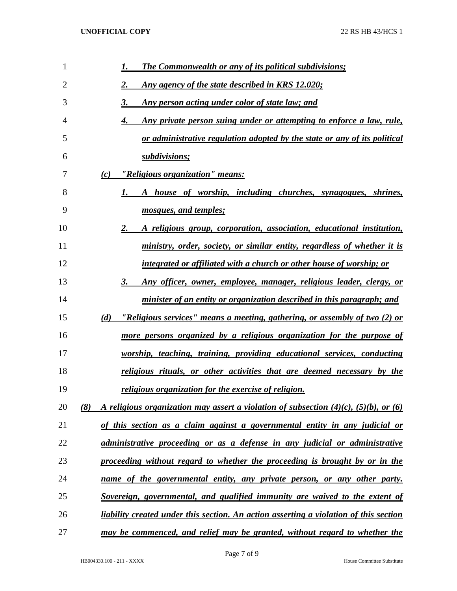| 1              | <b>The Commonwealth or any of its political subdivisions;</b><br>1.                                 |
|----------------|-----------------------------------------------------------------------------------------------------|
| $\overline{2}$ | Any agency of the state described in KRS 12.020;<br>2.                                              |
| 3              | 3.<br><u>Any person acting under color of state law; and</u>                                        |
| 4              | Any private person suing under or attempting to enforce a law, rule,<br>4.                          |
| 5              | or administrative regulation adopted by the state or any of its political                           |
| 6              | subdivisions;                                                                                       |
| 7              | "Religious organization" means:<br>(c)                                                              |
| 8              | A house of worship, including churches, synagogues, shrines,<br>1.                                  |
| 9              | mosques, and temples;                                                                               |
| 10             | 2.<br>A religious group, corporation, association, educational institution,                         |
| 11             | ministry, order, society, or similar entity, regardless of whether it is                            |
| 12             | <u>integrated or affiliated with a church or other house of worship; or</u>                         |
| 13             | 3.<br>Any officer, owner, employee, manager, religious leader, clergy, or                           |
| 14             | minister of an entity or organization described in this paragraph; and                              |
| 15             | (d)<br><u>"Religious services" means a meeting, gathering, or assembly of two (2) or</u>            |
| 16             | more persons organized by a religious organization for the purpose of                               |
| 17             | worship, teaching, training, providing educational services, conducting                             |
| 18             | religious rituals, or other activities that are deemed necessary by the                             |
| 19             | <u>religious organization for the exercise of religion.</u>                                         |
| 20             | A religious organization may assert a violation of subsection $(4)(c)$ , $(5)(b)$ , or $(6)$<br>(8) |
| 21             | <u>of this section as a claim against a governmental entity in any judicial or</u>                  |
| 22             | administrative proceeding or as a defense in any judicial or administrative                         |
| 23             | proceeding without regard to whether the proceeding is brought by or in the                         |
| 24             | name of the governmental entity, any private person, or any other party.                            |
| 25             | <u>Sovereign, governmental, and qualified immunity are waived to the extent of</u>                  |
| 26             | <u>liability created under this section. An action asserting a violation of this section</u>        |
| 27             | may be commenced, and relief may be granted, without regard to whether the                          |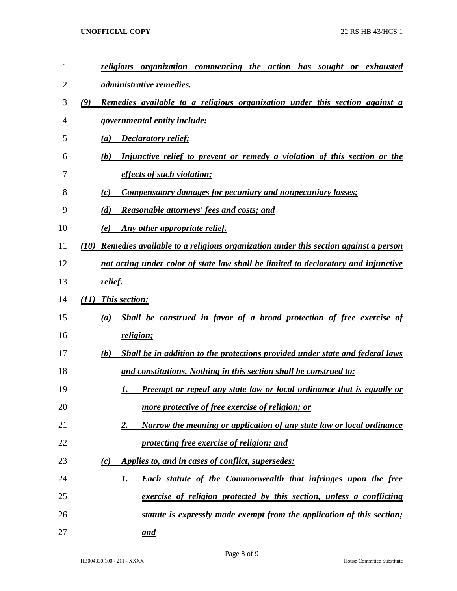## **UNOFFICIAL COPY** 22 RS HB 43/HCS 1

| $\mathbf{1}$ | religious organization commencing the action has sought or<br>exhausted                    |
|--------------|--------------------------------------------------------------------------------------------|
| 2            | <u>administrative remedies.</u>                                                            |
| 3            | (9)<br>Remedies available to a religious organization under this section against a         |
| 4            | <u>governmental entity include:</u>                                                        |
| 5            | <b>Declaratory relief;</b><br>(a)                                                          |
| 6            | Injunctive relief to prevent or remedy a violation of this section or the<br>(b)           |
| 7            | <i>effects of such violation;</i>                                                          |
| 8            | <b>Compensatory damages for pecuniary and nonpecuniary losses;</b><br>(c)                  |
| 9            | (d)<br><b>Reasonable attorneys' fees and costs; and</b>                                    |
| 10           | Any other appropriate relief.<br>(e)                                                       |
| 11           | Remedies available to a religious organization under this section against a person<br>(10) |
| 12           | not acting under color of state law shall be limited to declaratory and injunctive         |
| 13           | relief.                                                                                    |
| 14           | This section:<br>(11)                                                                      |
| 15           | Shall be construed in favor of a broad protection of free exercise of<br>(a)               |
| 16           | religion;                                                                                  |
| 17           | Shall be in addition to the protections provided under state and federal laws<br>(b)       |
| 18           | and constitutions. Nothing in this section shall be construed to:                          |
| 19           | <b>Preempt or repeal any state law or local ordinance that is equally or</b><br>I.         |
| 20           | more protective of free exercise of religion; or                                           |
| 21           | Narrow the meaning or application of any state law or local ordinance<br>2.                |
| 22           | protecting free exercise of religion; and                                                  |
| 23           | Applies to, and in cases of conflict, supersedes:<br>(c)                                   |
| 24           | <b>Each statute of the Commonwealth that infringes upon the free</b><br>1.                 |
| 25           | exercise of religion protected by this section, unless a conflicting                       |
| 26           | statute is expressly made exempt from the application of this section;                     |
| 27           | <u>and</u>                                                                                 |